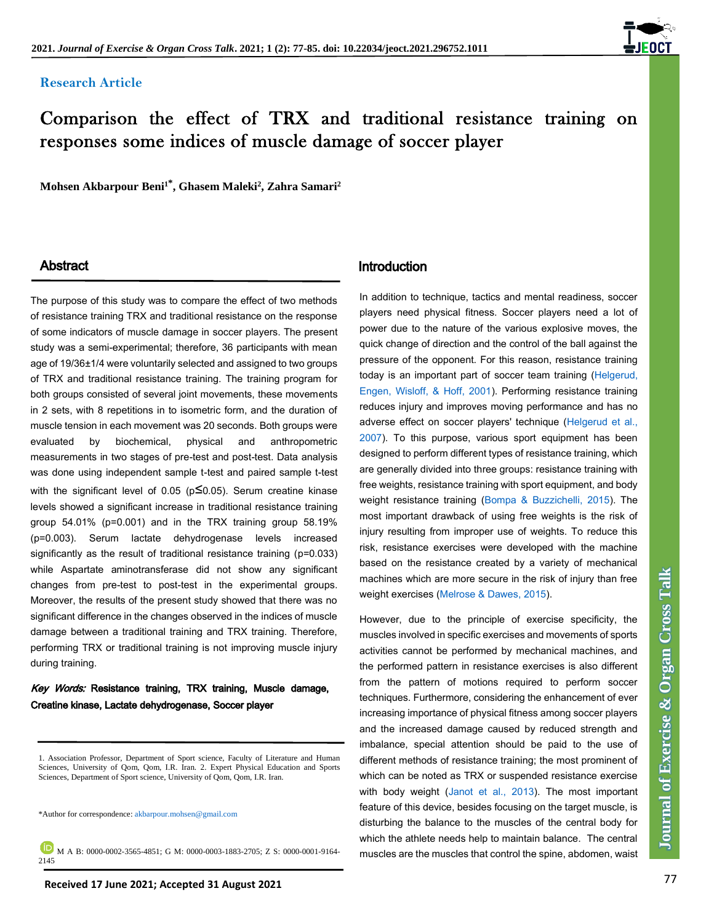# **Research Article**



# Comparison the effect of TRX and traditional resistance training on responses some indices of muscle damage of soccer player

**Mohsen Akbarpour Beni<sup>1</sup>\* , Ghasem Maleki<sup>2</sup> , Zahra Samari<sup>2</sup>**

The purpose of this study was to compare the effect of two methods of resistance training TRX and traditional resistance on the response of some indicators of muscle damage in soccer players. The present study was a semi-experimental; therefore, 36 participants with mean age of 19/36±1/4 were voluntarily selected and assigned to two groups of TRX and traditional resistance training. The training program for both groups consisted of several joint movements, these movements in 2 sets, with 8 repetitions in to isometric form, and the duration of muscle tension in each movement was 20 seconds. Both groups were evaluated by biochemical, physical and anthropometric measurements in two stages of pre-test and post-test. Data analysis was done using independent sample t-test and paired sample t-test with the significant level of 0.05 ( $p\leq 0.05$ ). Serum creatine kinase levels showed a significant increase in traditional resistance training group 54.01% (p=0.001) and in the TRX training group 58.19% (p=0.003). Serum lactate dehydrogenase levels increased significantly as the result of traditional resistance training (p=0.033) while Aspartate aminotransferase did not show any significant changes from pre-test to post-test in the experimental groups. Moreover, the results of the present study showed that there was no significant difference in the changes observed in the indices of muscle damage between a traditional training and TRX training. Therefore, performing TRX or traditional training is not improving muscle injury during training.

# Key Words: Resistance training, TRX training, Muscle damage, Creatine kinase, Lactate dehydrogenase, Soccer player

\*Author for correspondence: akbarpour.mohsen@gmail.com

**M** A B: 0000-0002-3565-4851; G M: 0000-0003-1883-2705; Z S: 0000-0001-9164-2145

# Abstract **Introduction**

In addition to technique, tactics and mental readiness, soccer players need physical fitness. Soccer players need a lot of power due to the nature of the various explosive moves, the quick change of direction and the control of the ball against the pressure of the opponent. For this reason, resistance training today is an important part of soccer team training [\(Helgerud,](#page-7-0)  [Engen, Wisloff, & Hoff, 2001\)](#page-7-0). Performing resistance training reduces injury and improves moving performance and has no adverse effect on soccer players' technique [\(Helgerud et al.,](#page-7-0)  [2007\)](#page-7-0). To this purpose, various sport equipment has been designed to perform different types of resistance training, which are generally divided into three groups: resistance training with free weights, resistance training with sport equipment, and body weight resistance training [\(Bompa & Buzzichelli, 2015\)](#page-7-0). The most important drawback of using free weights is the risk of injury resulting from improper use of weights. To reduce this risk, resistance exercises were developed with the machine based on the resistance created by a variety of mechanical machines which are more secure in the risk of injury than free weight exercises [\(Melrose & Dawes, 2015\)](#page-7-0).

However, due to the principle of exercise specificity, the muscles involved in specific exercises and movements of sports activities cannot be performed by mechanical machines, and the performed pattern in resistance exercises is also different from the pattern of motions required to perform soccer techniques. Furthermore, considering the enhancement of ever increasing importance of physical fitness among soccer players and the increased damage caused by reduced strength and imbalance, special attention should be paid to the use of different methods of resistance training; the most prominent of which can be noted as TRX or suspended resistance exercise with body weight [\(Janot et al., 2013\)](#page-7-0). The most important feature of this device, besides focusing on the target muscle, is disturbing the balance to the muscles of the central body for which the athlete needs help to maintain balance. The central muscles are the muscles that control the spine, abdomen, waist

<sup>1.</sup> Association Professor, Department of Sport science, Faculty of Literature and Human Sciences, University of Qom, Qom, I.R. Iran. 2. Expert Physical Education and Sports Sciences, Department of Sport science, University of Qom, Qom, I.R. Iran.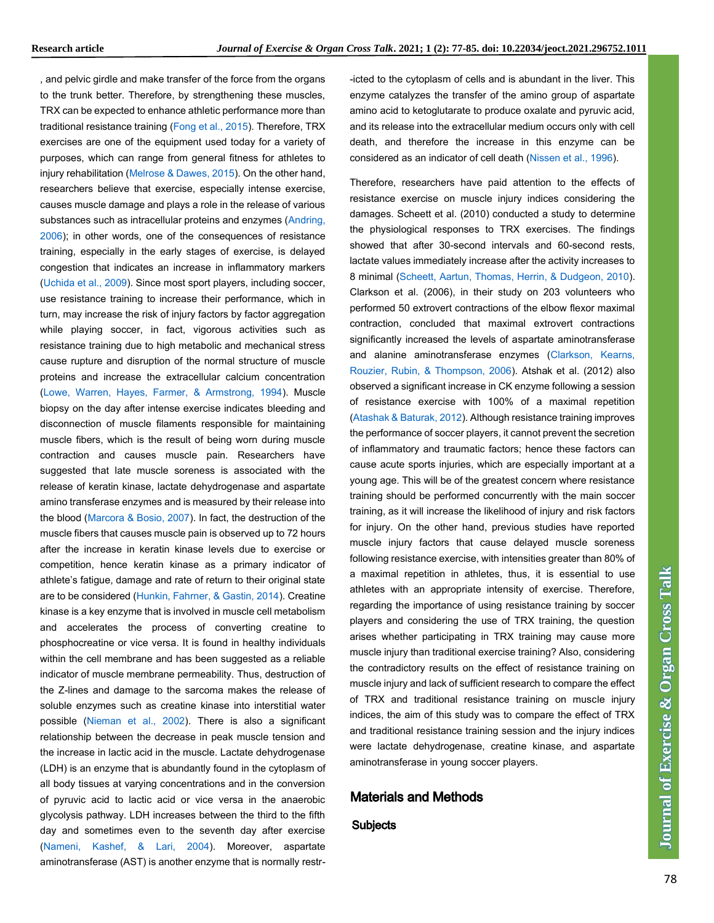, and pelvic girdle and make transfer of the force from the organs to the trunk better. Therefore, by strengthening these muscles, TRX can be expected to enhance athletic performance more than traditional resistance training [\(Fong et al., 2015\)](#page-7-0). Therefore, TRX exercises are one of the equipment used today for a variety of purposes, which can range from general fitness for athletes to injury rehabilitation [\(Melrose & Dawes, 2015\)](#page-7-0). On the other hand, researchers believe that exercise, especially intense exercise, causes muscle damage and plays a role in the release of various substances such as intracellular proteins and enzymes [\(Andring,](#page-7-0)  [2006\)](#page-7-0); in other words, one of the consequences of resistance training, especially in the early stages of exercise, is delayed congestion that indicates an increase in inflammatory markers [\(Uchida et al., 2009\)](#page-7-0). Since most sport players, including soccer, use resistance training to increase their performance, which in turn, may increase the risk of injury factors by factor aggregation while playing soccer, in fact, vigorous activities such as resistance training due to high metabolic and mechanical stress cause rupture and disruption of the normal structure of muscle proteins and increase the extracellular calcium concentration [\(Lowe, Warren, Hayes, Farmer, & Armstrong, 1994\)](#page-7-0). Muscle biopsy on the day after intense exercise indicates bleeding and disconnection of muscle filaments responsible for maintaining muscle fibers, which is the result of being worn during muscle contraction and causes muscle pain. Researchers have suggested that late muscle soreness is associated with the release of keratin kinase, lactate dehydrogenase and aspartate amino transferase enzymes and is measured by their release into the blood [\(Marcora & Bosio, 2007\)](#page-7-0). In fact, the destruction of the muscle fibers that causes muscle pain is observed up to 72 hours after the increase in keratin kinase levels due to exercise or competition, hence keratin kinase as a primary indicator of athlete's fatigue, damage and rate of return to their original state are to be considered [\(Hunkin, Fahrner, & Gastin, 2014\)](#page-7-0). Creatine kinase is a key enzyme that is involved in muscle cell metabolism and accelerates the process of converting creatine to phosphocreatine or vice versa. It is found in healthy individuals within the cell membrane and has been suggested as a reliable indicator of muscle membrane permeability. Thus, destruction of the Z-lines and damage to the sarcoma makes the release of soluble enzymes such as creatine kinase into interstitial water possible [\(Nieman et al., 2002\)](#page-7-0). There is also a significant relationship between the decrease in peak muscle tension and the increase in lactic acid in the muscle. Lactate dehydrogenase (LDH) is an enzyme that is abundantly found in the cytoplasm of all body tissues at varying concentrations and in the conversion of pyruvic acid to lactic acid or vice versa in the anaerobic glycolysis pathway. LDH increases between the third to the fifth day and sometimes even to the seventh day after exercise [\(Nameni, Kashef, & Lari, 2004\)](#page-7-0). Moreover, aspartate aminotransferase (AST) is another enzyme that is normally restr-icted to the cytoplasm of cells and is abundant in the liver. This enzyme catalyzes the transfer of the amino group of aspartate amino acid to ketoglutarate to produce oxalate and pyruvic acid, and its release into the extracellular medium occurs only with cell death, and therefore the increase in this enzyme can be considered as an indicator of cell death [\(Nissen et al., 1996\)](#page-7-0).

Therefore, researchers have paid attention to the effects of resistance exercise on muscle injury indices considering the damages. Scheett et al. (2010) conducted a study to determine the physiological responses to TRX exercises. The findings showed that after 30-second intervals and 60-second rests, lactate values immediately increase after the activity increases to 8 minimal [\(Scheett, Aartun, Thomas, Herrin, & Dudgeon, 2010\)](#page-7-0). Clarkson et al. (2006), in their study on 203 volunteers who performed 50 extrovert contractions of the elbow flexor maximal contraction, concluded that maximal extrovert contractions significantly increased the levels of aspartate aminotransferase and alanine aminotransferase enzymes (Clarkson, Kearns, [Rouzier, Rubin, & Thompson, 2006\)](#page-7-0). Atshak et al. (2012) also observed a significant increase in CK enzyme following a session of resistance exercise with 100% of a maximal repetition [\(Atashak & Baturak, 2012\)](#page-7-0). Although resistance training improves the performance of soccer players, it cannot prevent the secretion of inflammatory and traumatic factors; hence these factors can cause acute sports injuries, which are especially important at a young age. This will be of the greatest concern where resistance training should be performed concurrently with the main soccer training, as it will increase the likelihood of injury and risk factors for injury. On the other hand, previous studies have reported muscle injury factors that cause delayed muscle soreness following resistance exercise, with intensities greater than 80% of a maximal repetition in athletes, thus, it is essential to use athletes with an appropriate intensity of exercise. Therefore, regarding the importance of using resistance training by soccer players and considering the use of TRX training, the question arises whether participating in TRX training may cause more muscle injury than traditional exercise training? Also, considering the contradictory results on the effect of resistance training on muscle injury and lack of sufficient research to compare the effect of TRX and traditional resistance training on muscle injury indices, the aim of this study was to compare the effect of TRX and traditional resistance training session and the injury indices were lactate dehydrogenase, creatine kinase, and aspartate aminotransferase in young soccer players.

# Materials and Methods

#### **Subjects**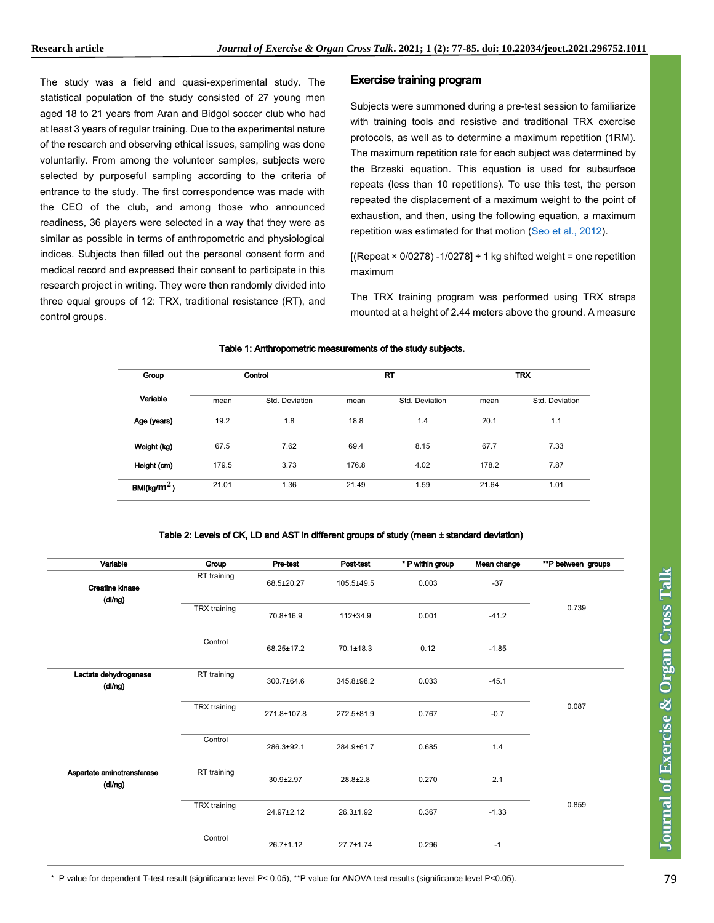The study was a field and quasi-experimental study. The statistical population of the study consisted of 27 young men aged 18 to 21 years from Aran and Bidgol soccer club who had at least 3 years of regular training. Due to the experimental nature of the research and observing ethical issues, sampling was done voluntarily. From among the volunteer samples, subjects were selected by purposeful sampling according to the criteria of entrance to the study. The first correspondence was made with the CEO of the club, and among those who announced readiness, 36 players were selected in a way that they were as similar as possible in terms of anthropometric and physiological indices. Subjects then filled out the personal consent form and medical record and expressed their consent to participate in this research project in writing. They were then randomly divided into three equal groups of 12: TRX, traditional resistance (RT), and control groups.

#### Exercise training program

Subjects were summoned during a pre-test session to familiarize with training tools and resistive and traditional TRX exercise protocols, as well as to determine a maximum repetition (1RM). The maximum repetition rate for each subject was determined by the Brzeski equation. This equation is used for subsurface repeats (less than 10 repetitions). To use this test, the person repeated the displacement of a maximum weight to the point of exhaustion, and then, using the following equation, a maximum repetition was estimated for that motion [\(Seo et al., 2012\)](#page-7-0).

 $[(\text{Repeat} \times 0/0278) - 1/0278] \div 1 \text{ kg shifted weight} = \text{one repetition}$ maximum

The TRX training program was performed using TRX straps mounted at a height of 2.44 meters above the ground. A measure

#### Table 1: Anthropometric measurements of the study subjects.

| Group<br>Variable        | Control |                | <b>RT</b> |                | <b>TRX</b> |                |
|--------------------------|---------|----------------|-----------|----------------|------------|----------------|
|                          | mean    | Std. Deviation | mean      | Std. Deviation | mean       | Std. Deviation |
| Age (years)              | 19.2    | 1.8            | 18.8      | 1.4            | 20.1       | 1.1            |
| Weight (kg)              | 67.5    | 7.62           | 69.4      | 8.15           | 67.7       | 7.33           |
| Height (cm)              | 179.5   | 3.73           | 176.8     | 4.02           | 178.2      | 7.87           |
| BMI(kg/ $\mathrm{m}^2$ ) | 21.01   | 1.36           | 21.49     | 1.59           | 21.64      | 1.01           |

#### Table 2: Levels of CK, LD and AST in different groups of study (mean ± standard deviation)

| Variable                              | Group        | Pre-test        | Post-test       | * P within group | Mean change | **P between groups |
|---------------------------------------|--------------|-----------------|-----------------|------------------|-------------|--------------------|
| Creatine kinase                       | RT training  | 68.5±20.27      | 105.5±49.5      | 0.003            | $-37$       |                    |
| (dl/ng)                               | TRX training | 70.8±16.9       | 112±34.9        | 0.001            | $-41.2$     | 0.739              |
|                                       | Control      | 68.25±17.2      | $70.1 \pm 18.3$ | 0.12             | $-1.85$     |                    |
| Lactate dehydrogenase<br>(dl/ng)      | RT training  | 300.7±64.6      | 345.8±98.2      | 0.033            | $-45.1$     |                    |
|                                       | TRX training | 271.8±107.8     | 272.5±81.9      | 0.767            | $-0.7$      | 0.087              |
|                                       | Control      | 286.3±92.1      | 284.9±61.7      | 0.685            | 1.4         |                    |
| Aspartate aminotransferase<br>(dl/ng) | RT training  | 30.9±2.97       | 28.8±2.8        | 0.270            | 2.1         |                    |
|                                       | TRX training | 24.97±2.12      | $26.3 \pm 1.92$ | 0.367            | $-1.33$     | 0.859              |
|                                       | Control      | $26.7 \pm 1.12$ | $27.7 \pm 1.74$ | 0.296            | $-1$        |                    |

Journal of Exercise & Organ Cross Talk **Journal of Exercise & Organ Cross Talk**

\* P value for dependent T-test result (significance level P< 0.05), \*\*P value for ANOVA test results (significance level P<0.05).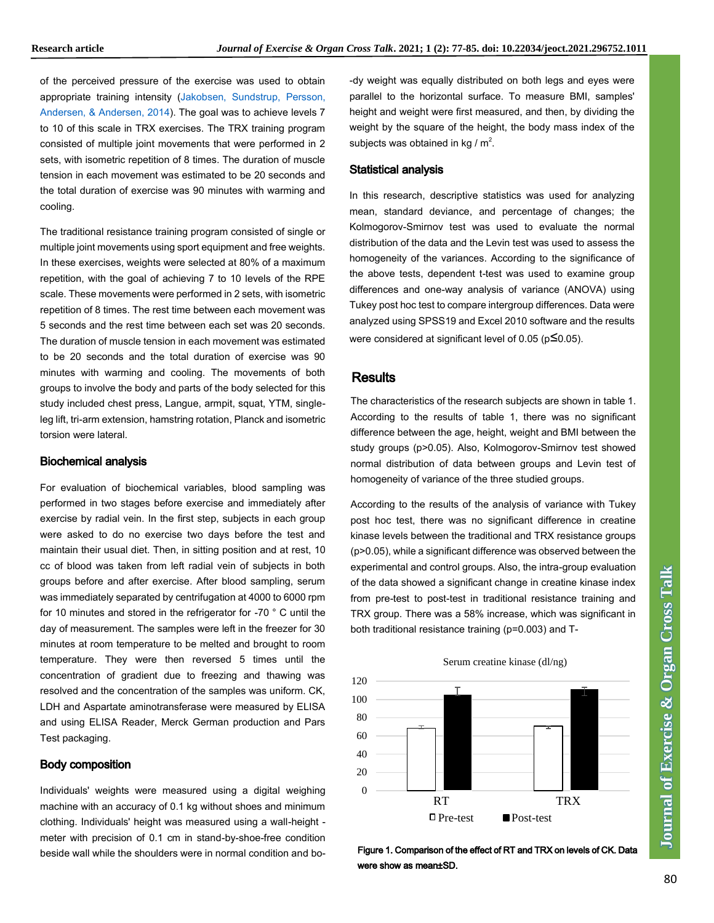of the perceived pressure of the exercise was used to obtain appropriate training intensity [\(Jakobsen, Sundstrup, Persson,](#page-7-0)  [Andersen, & Andersen, 2014\)](#page-7-0). The goal was to achieve levels 7 to 10 of this scale in TRX exercises. The TRX training program consisted of multiple joint movements that were performed in 2 sets, with isometric repetition of 8 times. The duration of muscle tension in each movement was estimated to be 20 seconds and the total duration of exercise was 90 minutes with warming and cooling.

The traditional resistance training program consisted of single or multiple joint movements using sport equipment and free weights. In these exercises, weights were selected at 80% of a maximum repetition, with the goal of achieving 7 to 10 levels of the RPE scale. These movements were performed in 2 sets, with isometric repetition of 8 times. The rest time between each movement was 5 seconds and the rest time between each set was 20 seconds. The duration of muscle tension in each movement was estimated to be 20 seconds and the total duration of exercise was 90 minutes with warming and cooling. The movements of both groups to involve the body and parts of the body selected for this study included chest press, Langue, armpit, squat, YTM, singleleg lift, tri-arm extension, hamstring rotation, Planck and isometric torsion were lateral.

#### Biochemical analysis

For evaluation of biochemical variables, blood sampling was performed in two stages before exercise and immediately after exercise by radial vein. In the first step, subjects in each group were asked to do no exercise two days before the test and maintain their usual diet. Then, in sitting position and at rest, 10 cc of blood was taken from left radial vein of subjects in both groups before and after exercise. After blood sampling, serum was immediately separated by centrifugation at 4000 to 6000 rpm for 10 minutes and stored in the refrigerator for -70 ° C until the day of measurement. The samples were left in the freezer for 30 minutes at room temperature to be melted and brought to room temperature. They were then reversed 5 times until the concentration of gradient due to freezing and thawing was resolved and the concentration of the samples was uniform. CK, LDH and Aspartate aminotransferase were measured by ELISA and using ELISA Reader, Merck German production and Pars Test packaging.

#### Body composition

Individuals' weights were measured using a digital weighing machine with an accuracy of 0.1 kg without shoes and minimum clothing. Individuals' height was measured using a wall-height meter with precision of 0.1 cm in stand-by-shoe-free condition beside wall while the shoulders were in normal condition and bo-dy weight was equally distributed on both legs and eyes were parallel to the horizontal surface. To measure BMI, samples' height and weight were first measured, and then, by dividing the weight by the square of the height, the body mass index of the subjects was obtained in kg /  $m^2$ . .

#### Statistical analysis

In this research, descriptive statistics was used for analyzing mean, standard deviance, and percentage of changes; the Kolmogorov-Smirnov test was used to evaluate the normal distribution of the data and the Levin test was used to assess the homogeneity of the variances. According to the significance of the above tests, dependent t-test was used to examine group differences and one-way analysis of variance (ANOVA) using Tukey post hoc test to compare intergroup differences. Data were analyzed using SPSS19 and Excel 2010 software and the results were considered at significant level of 0.05 ( $p\leq 0.05$ ).

#### **Results**

The characteristics of the research subjects are shown in table 1. According to the results of table 1, there was no significant difference between the age, height, weight and BMI between the study groups (p>0.05). Also, Kolmogorov-Smirnov test showed normal distribution of data between groups and Levin test of homogeneity of variance of the three studied groups.

According to the results of the analysis of variance with Tukey post hoc test, there was no significant difference in creatine kinase levels between the traditional and TRX resistance groups (p>0.05), while a significant difference was observed between the experimental and control groups. Also, the intra-group evaluation of the data showed a significant change in creatine kinase index from pre-test to post-test in traditional resistance training and TRX group. There was a 58% increase, which was significant in both traditional resistance training (p=0.003) and T-



Figure 1. Comparison of the effect of RT and TRX on levels of CK. Data were show as mean±SD.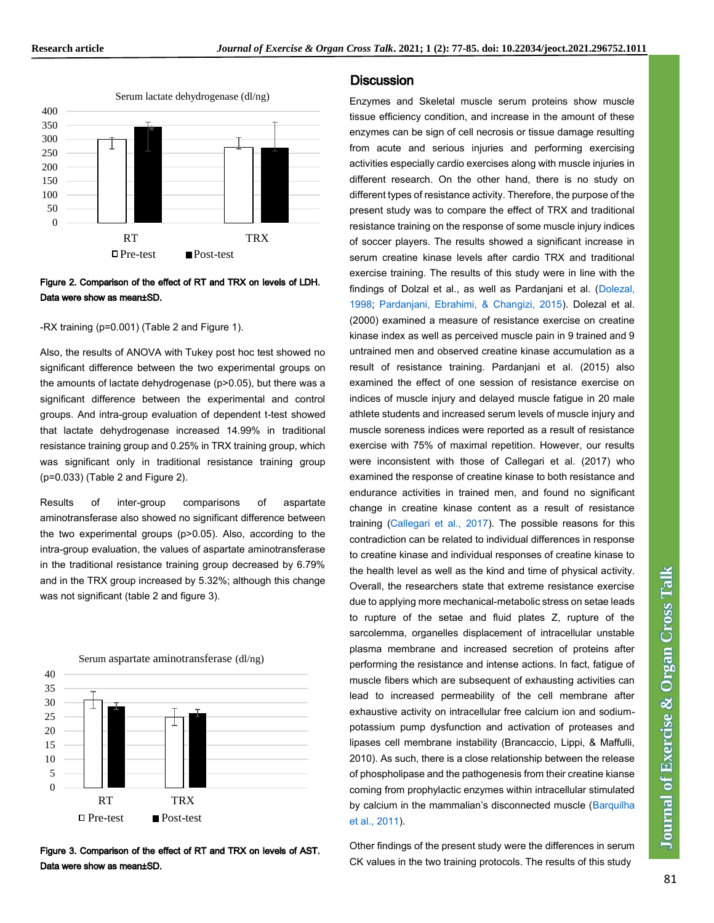

### Figure 2. Comparison of the effect of RT and TRX on levels of LDH. Data were show as mean±SD.

-RX training (p=0.001) (Table 2 and Figure 1).

Also, the results of ANOVA with Tukey post hoc test showed no significant difference between the two experimental groups on the amounts of lactate dehydrogenase (p>0.05), but there was a significant difference between the experimental and control groups. And intra-group evaluation of dependent t-test showed that lactate dehydrogenase increased 14.99% in traditional resistance training group and 0.25% in TRX training group, which was significant only in traditional resistance training group (p=0.033) (Table 2 and Figure 2).

Results of inter-group comparisons of aspartate aminotransferase also showed no significant difference between the two experimental groups (p>0.05). Also, according to the intra-group evaluation, the values of aspartate aminotransferase in the traditional resistance training group decreased by 6.79% and in the TRX group increased by 5.32%; although this change was not significant (table 2 and figure 3).





### **Discussion**

Enzymes and Skeletal muscle serum proteins show muscle tissue efficiency condition, and increase in the amount of these enzymes can be sign of cell necrosis or tissue damage resulting from acute and serious injuries and performing exercising activities especially cardio exercises along with muscle injuries in different research. On the other hand, there is no study on different types of resistance activity. Therefore, the purpose of the present study was to compare the effect of TRX and traditional resistance training on the response of some muscle injury indices of soccer players. The results showed a significant increase in serum creatine kinase levels after cardio TRX and traditional exercise training. The results of this study were in line with the findings of Dolzal et al., as well as Pardanjani et al. [\(Dolezal,](#page-7-0)  [1998; Pardanjani, Ebrahimi, & Changizi, 2015\)](#page-7-0). Dolezal et al. (2000) examined a measure of resistance exercise on creatine kinase index as well as perceived muscle pain in 9 trained and 9 untrained men and observed creatine kinase accumulation as a result of resistance training. Pardanjani et al. (2015) also examined the effect of one session of resistance exercise on indices of muscle injury and delayed muscle fatigue in 20 male athlete students and increased serum levels of muscle injury and muscle soreness indices were reported as a result of resistance exercise with 75% of maximal repetition. However, our results were inconsistent with those of Callegari et al. (2017) who examined the response of creatine kinase to both resistance and endurance activities in trained men, and found no significant change in creatine kinase content as a result of resistance training [\(Callegari et al., 2017\)](#page-7-0). The possible reasons for this contradiction can be related to individual differences in response to creatine kinase and individual responses of creatine kinase to the health level as well as the kind and time of physical activity. Overall, the researchers state that extreme resistance exercise due to applying more mechanical-metabolic stress on setae leads to rupture of the setae and fluid plates Z, rupture of the sarcolemma, organelles displacement of intracellular unstable plasma membrane and increased secretion of proteins after performing the resistance and intense actions. In fact, fatigue of muscle fibers which are subsequent of exhausting activities can lead to increased permeability of the cell membrane after exhaustive activity on intracellular free calcium ion and sodiumpotassium pump dysfunction and activation of proteases and lipases cell membrane instability (Brancaccio, Lippi, & Maffulli, 2010). As such, there is a close relationship between the release of phospholipase and the pathogenesis from their creatine kianse coming from prophylactic enzymes within intracellular stimulated by calcium in the mammalian's disconnected muscle (Barquilha [et al., 2011\)](#page-7-0).

Other findings of the present study were the differences in serum CK values in the two training protocols. The results of this study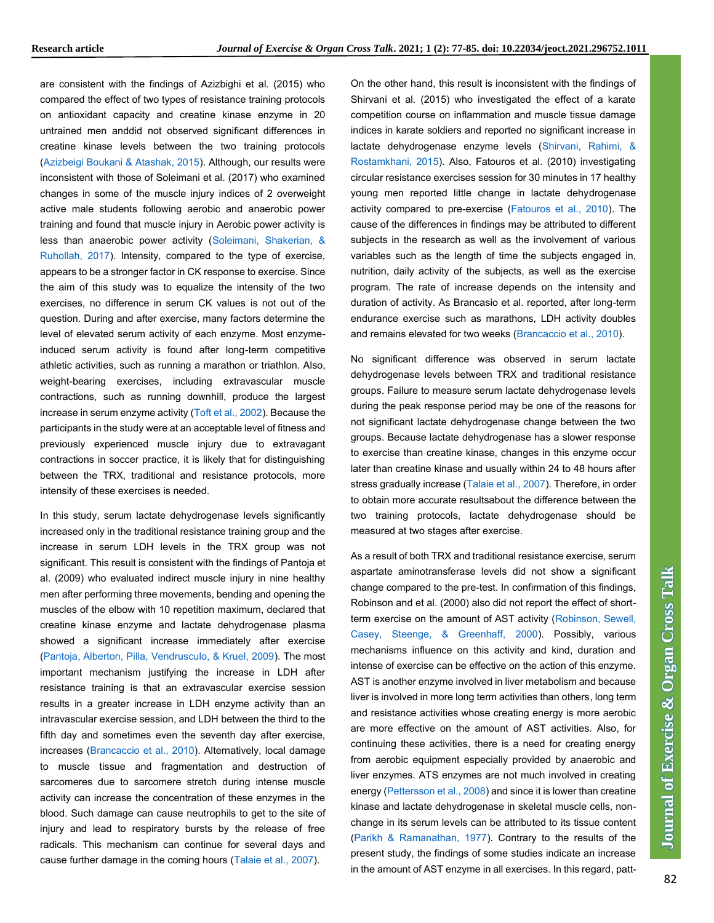are consistent with the findings of Azizbighi et al. (2015) who compared the effect of two types of resistance training protocols on antioxidant capacity and creatine kinase enzyme in 20 untrained men anddid not observed significant differences in creatine kinase levels between the two training protocols [\(Azizbeigi Boukani & Atashak, 2015\)](#page-7-0). Although, our results were inconsistent with those of Soleimani et al. (2017) who examined changes in some of the muscle injury indices of 2 overweight active male students following aerobic and anaerobic power training and found that muscle injury in Aerobic power activity is less than anaerobic power activity [\(Soleimani, Shakerian, &](#page-7-0)  [Ruhollah, 2017\)](#page-7-0). Intensity, compared to the type of exercise, appears to be a stronger factor in CK response to exercise. Since the aim of this study was to equalize the intensity of the two exercises, no difference in serum CK values is not out of the question. During and after exercise, many factors determine the level of elevated serum activity of each enzyme. Most enzymeinduced serum activity is found after long-term competitive athletic activities, such as running a marathon or triathlon. Also, weight-bearing exercises, including extravascular muscle contractions, such as running downhill, produce the largest increase in serum enzyme activity [\(Toft et al., 2002\)](#page-7-0). Because the participants in the study were at an acceptable level of fitness and previously experienced muscle injury due to extravagant contractions in soccer practice, it is likely that for distinguishing between the TRX, traditional and resistance protocols, more intensity of these exercises is needed.

In this study, serum lactate dehydrogenase levels significantly increased only in the traditional resistance training group and the increase in serum LDH levels in the TRX group was not significant. This result is consistent with the findings of Pantoja et al. (2009) who evaluated indirect muscle injury in nine healthy men after performing three movements, bending and opening the muscles of the elbow with 10 repetition maximum, declared that creatine kinase enzyme and lactate dehydrogenase plasma showed a significant increase immediately after exercise [\(Pantoja, Alberton, Pilla, Vendrusculo, & Kruel, 2009\)](#page-7-0). The most important mechanism justifying the increase in LDH after resistance training is that an extravascular exercise session results in a greater increase in LDH enzyme activity than an intravascular exercise session, and LDH between the third to the fifth day and sometimes even the seventh day after exercise, increases (Brancaccio [et al., 2010\)](#page-7-0). Alternatively, local damage to muscle tissue and fragmentation and destruction of sarcomeres due to sarcomere stretch during intense muscle activity can increase the concentration of these enzymes in the blood. Such damage can cause neutrophils to get to the site of injury and lead to respiratory bursts by the release of free radicals. This mechanism can continue for several days and cause further damage in the coming hours [\(Talaie et al., 2007\)](#page-7-0).

On the other hand, this result is inconsistent with the findings of Shirvani et al. (2015) who investigated the effect of a karate competition course on inflammation and muscle tissue damage indices in karate soldiers and reported no significant increase in lactate dehydrogenase enzyme levels [\(Shirvani, Rahimi, &](#page-7-0)  [Rostamkhani, 2015\)](#page-7-0). Also, Fatouros et al. (2010) investigating circular resistance exercises session for 30 minutes in 17 healthy young men reported little change in lactate dehydrogenase activity compared to pre-exercise [\(Fatouros et al., 2010\)](#page-7-0). The cause of the differences in findings may be attributed to different subjects in the research as well as the involvement of various variables such as the length of time the subjects engaged in, nutrition, daily activity of the subjects, as well as the exercise program. The rate of increase depends on the intensity and duration of activity. As Brancasio et al. reported, after long-term endurance exercise such as marathons, LDH activity doubles and remains elevated for two weeks [\(Brancaccio et al., 2010\)](#page-7-0).

No significant difference was observed in serum lactate dehydrogenase levels between TRX and traditional resistance groups. Failure to measure serum lactate dehydrogenase levels during the peak response period may be one of the reasons for not significant lactate dehydrogenase change between the two groups. Because lactate dehydrogenase has a slower response to exercise than creatine kinase, changes in this enzyme occur later than creatine kinase and usually within 24 to 48 hours after stress gradually increase [\(Talaie et al., 2007\)](#page-7-0). Therefore, in order to obtain more accurate resultsabout the difference between the two training protocols, lactate dehydrogenase should be measured at two stages after exercise.

As a result of both TRX and traditional resistance exercise, serum aspartate aminotransferase levels did not show a significant change compared to the pre-test. In confirmation of this findings, Robinson and et al. (2000) also did not report the effect of shortterm exercise on the amount of AST activity [\(Robinson, Sewell,](#page-7-0)  [Casey, Steenge, & Greenhaff, 2000\)](#page-7-0). Possibly, various mechanisms influence on this activity and kind, duration and intense of exercise can be effective on the action of this enzyme. AST is another enzyme involved in liver metabolism and because liver is involved in more long term activities than others, long term and resistance activities whose creating energy is more aerobic are more effective on the amount of AST activities. Also, for continuing these activities, there is a need for creating energy from aerobic equipment especially provided by anaerobic and liver enzymes. ATS enzymes are not much involved in creating energy [\(Pettersson et al., 2008\)](#page-7-0) and since it is lower than creatine kinase and lactate dehydrogenase in skeletal muscle cells, nonchange in its serum levels can be attributed to its tissue content [\(Parikh & Ramanathan, 1977\)](#page-7-0). Contrary to the results of the present study, the findings of some studies indicate an increase in the amount of AST enzyme in all exercises. In this regard, patt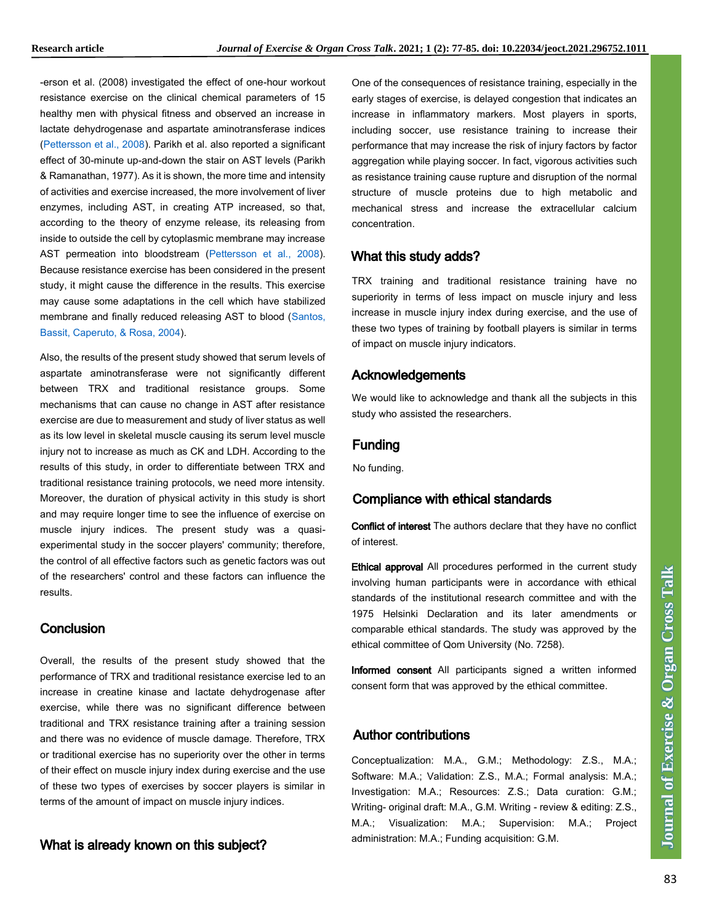-erson et al. (2008) investigated the effect of one-hour workout resistance exercise on the clinical chemical parameters of 15 healthy men with physical fitness and observed an increase in lactate dehydrogenase and aspartate aminotransferase indices [\(Pettersson et al., 2008\)](#page-7-0). Parikh et al. also reported a significant effect of 30-minute up-and-down the stair on AST levels (Parikh & Ramanathan, 1977). As it is shown, the more time and intensity of activities and exercise increased, the more involvement of liver enzymes, including AST, in creating ATP increased, so that, according to the theory of enzyme release, its releasing from inside to outside the cell by cytoplasmic membrane may increase AST permeation into bloodstream [\(Pettersson et al., 2008\)](#page-7-0). Because resistance exercise has been considered in the present study, it might cause the difference in the results. This exercise may cause some adaptations in the cell which have stabilized membrane and finally reduced releasing AST to blood [\(Santos,](#page-7-0)  [Bassit, Caperuto, & Rosa, 2004\)](#page-7-0).

Also, the results of the present study showed that serum levels of aspartate aminotransferase were not significantly different between TRX and traditional resistance groups. Some mechanisms that can cause no change in AST after resistance exercise are due to measurement and study of liver status as well as its low level in skeletal muscle causing its serum level muscle injury not to increase as much as CK and LDH. According to the results of this study, in order to differentiate between TRX and traditional resistance training protocols, we need more intensity. Moreover, the duration of physical activity in this study is short and may require longer time to see the influence of exercise on muscle injury indices. The present study was a quasiexperimental study in the soccer players' community; therefore, the control of all effective factors such as genetic factors was out of the researchers' control and these factors can influence the results.

# **Conclusion**

Overall, the results of the present study showed that the performance of TRX and traditional resistance exercise led to an increase in creatine kinase and lactate dehydrogenase after exercise, while there was no significant difference between traditional and TRX resistance training after a training session and there was no evidence of muscle damage. Therefore, TRX or traditional exercise has no superiority over the other in terms of their effect on muscle injury index during exercise and the use of these two types of exercises by soccer players is similar in terms of the amount of impact on muscle injury indices.

# What is already known on this subject?

One of the consequences of resistance training, especially in the early stages of exercise, is delayed congestion that indicates an increase in inflammatory markers. Most players in sports, including soccer, use resistance training to increase their performance that may increase the risk of injury factors by factor aggregation while playing soccer. In fact, vigorous activities such as resistance training cause rupture and disruption of the normal structure of muscle proteins due to high metabolic and mechanical stress and increase the extracellular calcium concentration.

# What this study adds?

TRX training and traditional resistance training have no superiority in terms of less impact on muscle injury and less increase in muscle injury index during exercise, and the use of these two types of training by football players is similar in terms of impact on muscle injury indicators.

# Acknowledgements

We would like to acknowledge and thank all the subjects in this study who assisted the researchers.

# Funding

No funding.

# Compliance with ethical standards

Conflict of interest The authors declare that they have no conflict of interest.

Ethical approval All procedures performed in the current study involving human participants were in accordance with ethical standards of the institutional research committee and with the 1975 Helsinki Declaration and its later amendments or comparable ethical standards. The study was approved by the ethical committee of Qom University (No. 7258).

Informed consent All participants signed a written informed consent form that was approved by the ethical committee.

# Author contributions

Conceptualization: M.A., G.M.; Methodology: Z.S., M.A.; Software: M.A.; Validation: Z.S., M.A.; Formal analysis: M.A.; Investigation: M.A.; Resources: Z.S.; Data curation: G.M.; Writing-original draft: M.A., G.M. Writing - review & editing: Z.S., M.A.; Visualization: M.A.; Supervision: M.A.; Project administration: M.A.; Funding acquisition: G.M.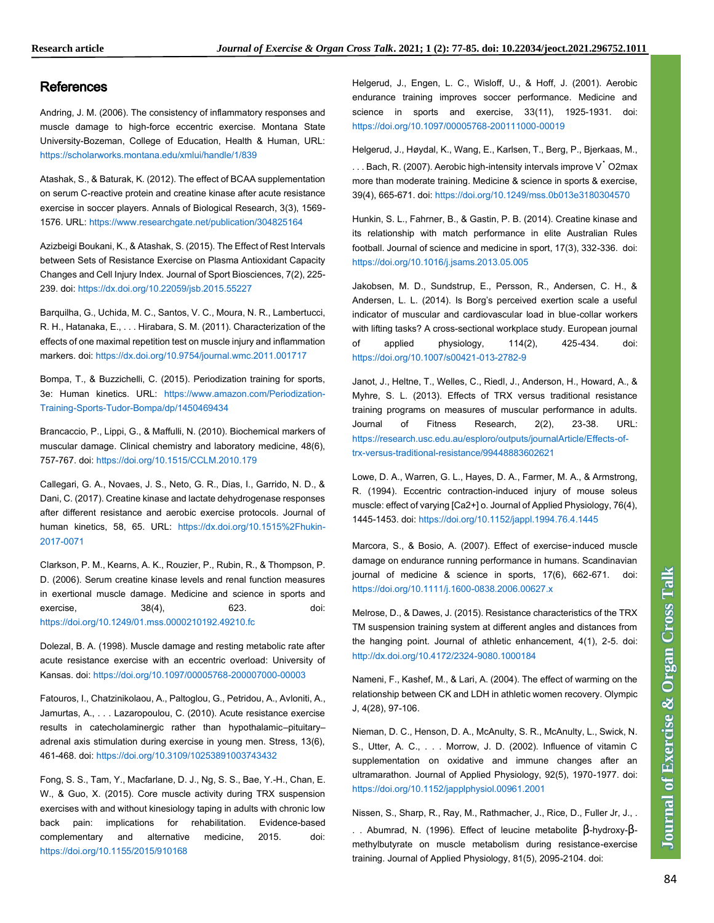# <span id="page-7-0"></span>[References](#page-7-0)

Andring, J. M. (2006). The consistency of inflammatory responses and muscle damage to high-force eccentric exercise. Montana State University-Bozeman, College of Education, Health & Human, URL: <https://scholarworks.montana.edu/xmlui/handle/1/839>

Atashak, S., & Baturak, K. (2012). The effect of BCAA supplementation on serum C-reactive protein and creatine kinase after acute resistance exercise in soccer players. Annals of Biological Research, 3(3), 1569- 1576. URL[: https://www.researchgate.net/publication/304825164](https://www.researchgate.net/publication/304825164)

Azizbeigi Boukani, K., & Atashak, S. (2015). The Effect of Rest Intervals between Sets of Resistance Exercise on Plasma Antioxidant Capacity Changes and Cell Injury Index. Journal of Sport Biosciences, 7(2), 225- 239. doi:<https://dx.doi.org/10.22059/jsb.2015.55227>

Barquilha, G., Uchida, M. C., Santos, V. C., Moura, N. R., Lambertucci, R. H., Hatanaka, E., . . . Hirabara, S. M. (2011). Characterization of the effects of one maximal repetition test on muscle injury and inflammation markers. doi[: https://dx.doi.org/10.9754/journal.wmc.2011.001717](https://dx.doi.org/10.9754/journal.wmc.2011.001717)

Bompa, T., & Buzzichelli, C. (2015). Periodization training for sports, 3e: Human kinetics. URL: [https://www.amazon.com/Periodization-](https://www.amazon.com/Periodization-Training-Sports-Tudor-Bompa/dp/1450469434)[Training-Sports-Tudor-Bompa/dp/1450469434](https://www.amazon.com/Periodization-Training-Sports-Tudor-Bompa/dp/1450469434)

Brancaccio, P., Lippi, G., & Maffulli, N. (2010). Biochemical markers of muscular damage. Clinical chemistry and laboratory medicine, 48(6), 757-767. doi[: https://doi.org/10.1515/CCLM.2010.179](https://doi.org/10.1515/CCLM.2010.179)

Callegari, G. A., Novaes, J. S., Neto, G. R., Dias, I., Garrido, N. D., & Dani, C. (2017). Creatine kinase and lactate dehydrogenase responses after different resistance and aerobic exercise protocols. Journal of human kinetics, 58, 65. URL: [https://dx.doi.org/10.1515%2Fhukin-](https://dx.doi.org/10.1515%2Fhukin-2017-0071)[2017-0071](https://dx.doi.org/10.1515%2Fhukin-2017-0071)

Clarkson, P. M., Kearns, A. K., Rouzier, P., Rubin, R., & Thompson, P. D. (2006). Serum creatine kinase levels and renal function measures in exertional muscle damage. Medicine and science in sports and exercise, 38(4), 623. doi: <https://doi.org/10.1249/01.mss.0000210192.49210.fc>

Dolezal, B. A. (1998). Muscle damage and resting metabolic rate after acute resistance exercise with an eccentric overload: University of Kansas. doi:<https://doi.org/10.1097/00005768-200007000-00003>

Fatouros, I., Chatzinikolaou, A., Paltoglou, G., Petridou, A., Avloniti, A., Jamurtas, A., . . . Lazaropoulou, C. (2010). Acute resistance exercise results in catecholaminergic rather than hypothalamic–pituitary– adrenal axis stimulation during exercise in young men. Stress, 13(6), 461-468. doi[: https://doi.org/10.3109/10253891003743432](https://doi.org/10.3109/10253891003743432)

Fong, S. S., Tam, Y., Macfarlane, D. J., Ng, S. S., Bae, Y.-H., Chan, E. W., & Guo, X. (2015). Core muscle activity during TRX suspension exercises with and without kinesiology taping in adults with chronic low back pain: implications for rehabilitation. Evidence-based complementary and alternative medicine, 2015. doi: <https://doi.org/10.1155/2015/910168>

Helgerud, J., Engen, L. C., Wisloff, U., & Hoff, J. (2001). Aerobic endurance training improves soccer performance. Medicine and science in sports and exercise, 33(11), 1925-1931. doi: <https://doi.org/10.1097/00005768-200111000-00019>

Helgerud, J., Høydal, K., Wang, E., Karlsen, T., Berg, P., Bjerkaas, M.,

. . . Bach, R. (2007). Aerobic high-intensity intervals improve V˙ O2max more than moderate training. Medicine & science in sports & exercise, 39(4), 665-671. doi[: https://doi.org/10.1249/mss.0b013e3180304570](https://doi.org/10.1249/mss.0b013e3180304570)

Hunkin, S. L., Fahrner, B., & Gastin, P. B. (2014). Creatine kinase and its relationship with match performance in elite Australian Rules football. Journal of science and medicine in sport, 17(3), 332-336. doi: <https://doi.org/10.1016/j.jsams.2013.05.005>

Jakobsen, M. D., Sundstrup, E., Persson, R., Andersen, C. H., & Andersen, L. L. (2014). Is Borg's perceived exertion scale a useful indicator of muscular and cardiovascular load in blue-collar workers with lifting tasks? A cross-sectional workplace study. European journal of applied physiology, 114(2), 425-434. doi: <https://doi.org/10.1007/s00421-013-2782-9>

Janot, J., Heltne, T., Welles, C., Riedl, J., Anderson, H., Howard, A., & Myhre, S. L. (2013). Effects of TRX versus traditional resistance training programs on measures of muscular performance in adults. Journal of Fitness Research, 2(2), 23-38. URL: [https://research.usc.edu.au/esploro/outputs/journalArticle/Effects-of](https://research.usc.edu.au/esploro/outputs/journalArticle/Effects-of-trx-versus-traditional-resistance/99448883602621)[trx-versus-traditional-resistance/99448883602621](https://research.usc.edu.au/esploro/outputs/journalArticle/Effects-of-trx-versus-traditional-resistance/99448883602621)

Lowe, D. A., Warren, G. L., Hayes, D. A., Farmer, M. A., & Armstrong, R. (1994). Eccentric contraction-induced injury of mouse soleus muscle: effect of varying [Ca2+] o. Journal of Applied Physiology, 76(4), 1445-1453. doi[: https://doi.org/10.1152/jappl.1994.76.4.1445](https://doi.org/10.1152/jappl.1994.76.4.1445)

Marcora, S., & Bosio, A. (2007). Effect of exercise‐induced muscle damage on endurance running performance in humans. Scandinavian journal of medicine & science in sports, 17(6), 662-671. doi: <https://doi.org/10.1111/j.1600-0838.2006.00627.x>

Melrose, D., & Dawes, J. (2015). Resistance characteristics of the TRX TM suspension training system at different angles and distances from the hanging point. Journal of athletic enhancement, 4(1), 2-5. doi: <http://dx.doi.org/10.4172/2324-9080.1000184>

Nameni, F., Kashef, M., & Lari, A. (2004). The effect of warming on the relationship between CK and LDH in athletic women recovery. Olympic J, 4(28), 97-106.

Nieman, D. C., Henson, D. A., McAnulty, S. R., McAnulty, L., Swick, N. S., Utter, A. C., . . . Morrow, J. D. (2002). Influence of vitamin C supplementation on oxidative and immune changes after an ultramarathon. Journal of Applied Physiology, 92(5), 1970-1977. doi: <https://doi.org/10.1152/japplphysiol.00961.2001>

Nissen, S., Sharp, R., Ray, M., Rathmacher, J., Rice, D., Fuller Jr, J., . . . Abumrad, N. (1996). Effect of leucine metabolite β-hydroxy-βmethylbutyrate on muscle metabolism during resistance-exercise training. Journal of Applied Physiology, 81(5), 2095-2104. doi: